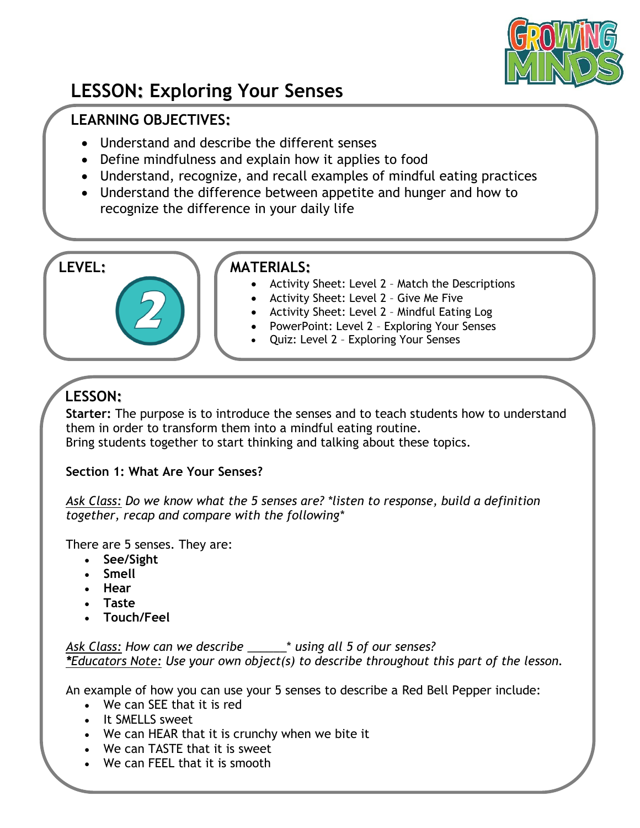

# **LESSON: Exploring Your Senses**

## **LEARNING OBJECTIVES:**

- Understand and describe the different senses
- Define mindfulness and explain how it applies to food
- Understand, recognize, and recall examples of mindful eating practices
- Understand the difference between appetite and hunger and how to recognize the difference in your daily life

## LEVEL: **WATERIALS:**

- Activity Sheet: Level 2 Match the Descriptions
	- Activity Sheet: Level 2 Give Me Five
- Activity Sheet: Level 2 Mindful Eating Log
- PowerPoint: Level 2 Exploring Your Senses
- Quiz: Level 2 Exploring Your Senses

## **LESSON:**

**Starter:** The purpose is to introduce the senses and to teach students how to understand them in order to transform them into a mindful eating routine. Bring students together to start thinking and talking about these topics.

#### **Section 1: What Are Your Senses?**

*Ask Class: Do we know what the 5 senses are? \*listen to response, build a definition together, recap and compare with the following\**

There are 5 senses. They are:

- **See/Sight**
- **Smell**
- **Hear**
- **Taste**
- **Touch/Feel**

*Ask Class: How can we describe* \_\_\_\_\_\_\* *using all 5 of our senses? \*Educators Note: Use your own object(s) to describe throughout this part of the lesson.*

An example of how you can use your 5 senses to describe a Red Bell Pepper include:

- We can SEE that it is red
- It SMELLS sweet
- We can HEAR that it is crunchy when we bite it
- We can TASTE that it is sweet
- We can FEEL that it is smooth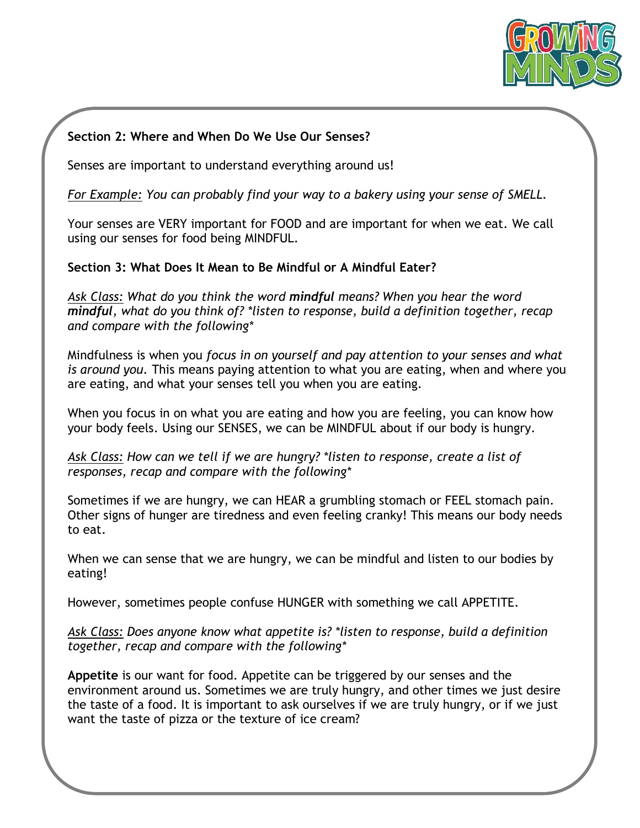

### **Section 2: Where and When Do We Use Our Senses?**

Senses are important to understand everything around us!

*For Example: You can probably find your way to a bakery using your sense of SMELL.*

Your senses are VERY important for FOOD and are important for when we eat. We call using our senses for food being MINDFUL.

#### **Section 3: What Does It Mean to Be Mindful or A Mindful Eater?**

*Ask Class: What do you think the word mindful means? When you hear the word mindful, what do you think of? \*listen to response, build a definition together, recap and compare with the following\**

Mindfulness is when you *focus in on yourself and pay attention to your senses and what is around you.* This means paying attention to what you are eating, when and where you are eating, and what your senses tell you when you are eating.

When you focus in on what you are eating and how you are feeling, you can know how your body feels. Using our SENSES, we can be MINDFUL about if our body is hungry.

*Ask Class: How can we tell if we are hungry? \*listen to response, create a list of responses, recap and compare with the following\**

Sometimes if we are hungry, we can HEAR a grumbling stomach or FEEL stomach pain. Other signs of hunger are tiredness and even feeling cranky! This means our body needs to eat.

When we can sense that we are hungry, we can be mindful and listen to our bodies by eating!

However, sometimes people confuse HUNGER with something we call APPETITE.

*Ask Class: Does anyone know what appetite is? \*listen to response, build a definition together, recap and compare with the following\**

**Appetite** is our want for food. Appetite can be triggered by our senses and the environment around us. Sometimes we are truly hungry, and other times we just desire the taste of a food. It is important to ask ourselves if we are truly hungry, or if we just want the taste of pizza or the texture of ice cream?